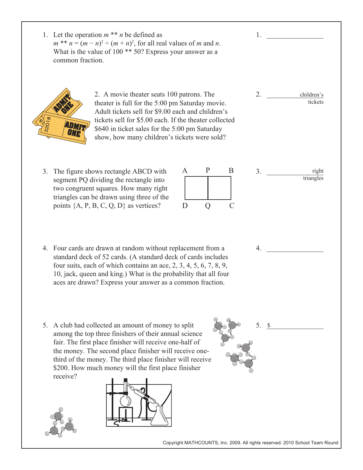